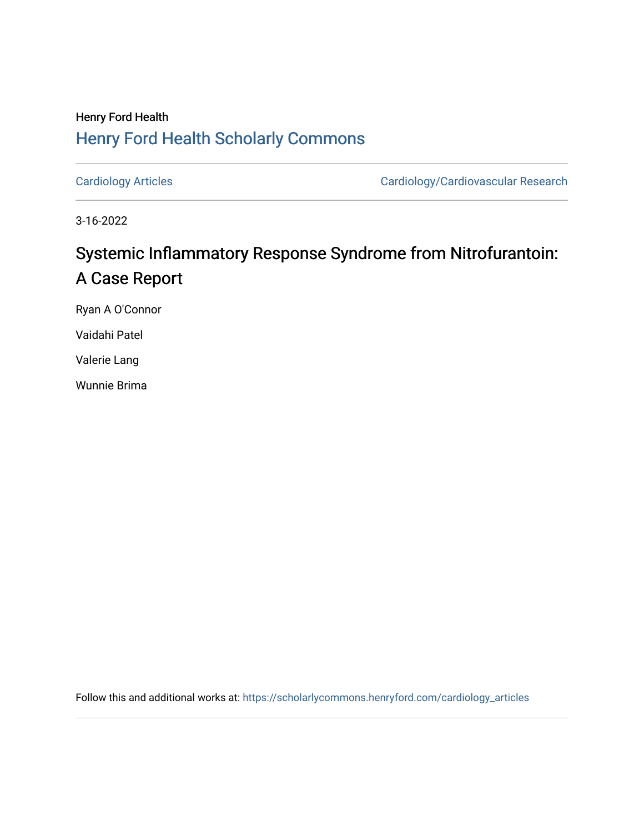# Henry Ford Health [Henry Ford Health Scholarly Commons](https://scholarlycommons.henryford.com/)

[Cardiology Articles](https://scholarlycommons.henryford.com/cardiology_articles) [Cardiology/Cardiovascular Research](https://scholarlycommons.henryford.com/cardiology) 

3-16-2022

# Systemic Inflammatory Response Syndrome from Nitrofurantoin: A Case Report

Ryan A O'Connor

Vaidahi Patel

Valerie Lang

Wunnie Brima

Follow this and additional works at: [https://scholarlycommons.henryford.com/cardiology\\_articles](https://scholarlycommons.henryford.com/cardiology_articles?utm_source=scholarlycommons.henryford.com%2Fcardiology_articles%2F897&utm_medium=PDF&utm_campaign=PDFCoverPages)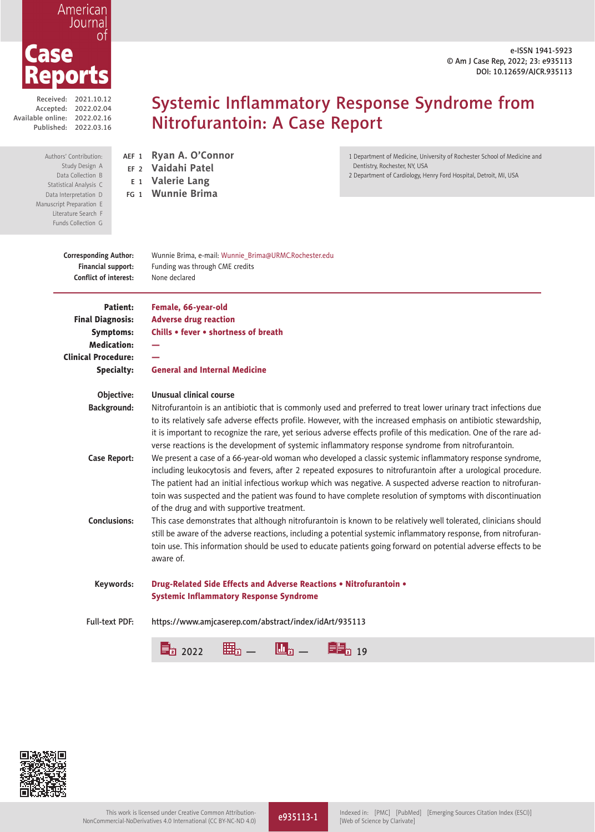e-ISSN 1941-5923 © Am J Case Rep, 2022; 23: e935113 DOI: 10.12659/AJCR.935113

1 Department of Medicine, University of Rochester School of Medicine and

2 Department of Cardiology, Henry Ford Hospital, Detroit, MI, USA

Dentistry, Rochester, NY, USA

### American Journal 0f Case eports

Received: 2021.10.12 Accepted: 2022.02.04 Available online: 2022.02.16 Published: 2022.03.16

> Authors' Contribution: Study Design A Data Collection B Statistical Analysis C Statistical Analysis<br>Data Interpretation D Manuscript Prepar Literature Funds Col

AEF <sup>1</sup> **Ryan A. O'Connor** EF <sup>2</sup> **Vaidahi Patel** <sup>E</sup> <sup>1</sup> **Valerie Lang** FG <sup>1</sup> **Wunnie Brima**

# Systemic Inflammatory Response Syndrome from Nitrofurantoin: A Case Report

| I II I LUQI QILIVII L<br>rature Search F<br>ds Collection G                        |                                                                                                                                                                                                                                                                                                                                                                                                                                                                                                       |
|------------------------------------------------------------------------------------|-------------------------------------------------------------------------------------------------------------------------------------------------------------------------------------------------------------------------------------------------------------------------------------------------------------------------------------------------------------------------------------------------------------------------------------------------------------------------------------------------------|
| <b>Corresponding Author:</b><br>Financial support:<br><b>Conflict of interest:</b> | Wunnie Brima, e-mail: Wunnie_Brima@URMC.Rochester.edu<br>Funding was through CME credits<br>None declared                                                                                                                                                                                                                                                                                                                                                                                             |
| Patient:<br><b>Final Diagnosis:</b>                                                | Female, 66-year-old<br><b>Adverse drug reaction</b>                                                                                                                                                                                                                                                                                                                                                                                                                                                   |
| <b>Symptoms:</b>                                                                   | Chills . fever . shortness of breath                                                                                                                                                                                                                                                                                                                                                                                                                                                                  |
| <b>Medication:</b>                                                                 |                                                                                                                                                                                                                                                                                                                                                                                                                                                                                                       |
| <b>Clinical Procedure:</b>                                                         |                                                                                                                                                                                                                                                                                                                                                                                                                                                                                                       |
| Specialty:                                                                         | <b>General and Internal Medicine</b>                                                                                                                                                                                                                                                                                                                                                                                                                                                                  |
| Objective:                                                                         | Unusual clinical course                                                                                                                                                                                                                                                                                                                                                                                                                                                                               |
| <b>Background:</b>                                                                 | Nitrofurantoin is an antibiotic that is commonly used and preferred to treat lower urinary tract infections due<br>to its relatively safe adverse effects profile. However, with the increased emphasis on antibiotic stewardship,<br>it is important to recognize the rare, yet serious adverse effects profile of this medication. One of the rare ad-<br>verse reactions is the development of systemic inflammatory response syndrome from nitrofurantoin.                                        |
| <b>Case Report:</b>                                                                | We present a case of a 66-year-old woman who developed a classic systemic inflammatory response syndrome,<br>including leukocytosis and fevers, after 2 repeated exposures to nitrofurantoin after a urological procedure.<br>The patient had an initial infectious workup which was negative. A suspected adverse reaction to nitrofuran-<br>toin was suspected and the patient was found to have complete resolution of symptoms with discontinuation<br>of the drug and with supportive treatment. |
| <b>Conclusions:</b>                                                                | This case demonstrates that although nitrofurantoin is known to be relatively well tolerated, clinicians should<br>still be aware of the adverse reactions, including a potential systemic inflammatory response, from nitrofuran-<br>toin use. This information should be used to educate patients going forward on potential adverse effects to be<br>aware of.                                                                                                                                     |
| Keywords:                                                                          | Drug-Related Side Effects and Adverse Reactions . Nitrofurantoin .<br><b>Systemic Inflammatory Response Syndrome</b>                                                                                                                                                                                                                                                                                                                                                                                  |
| <b>Full-text PDF:</b>                                                              | https://www.amjcaserep.com/abstract/index/idArt/935113                                                                                                                                                                                                                                                                                                                                                                                                                                                |
|                                                                                    | Ш<br>2022<br>19                                                                                                                                                                                                                                                                                                                                                                                                                                                                                       |

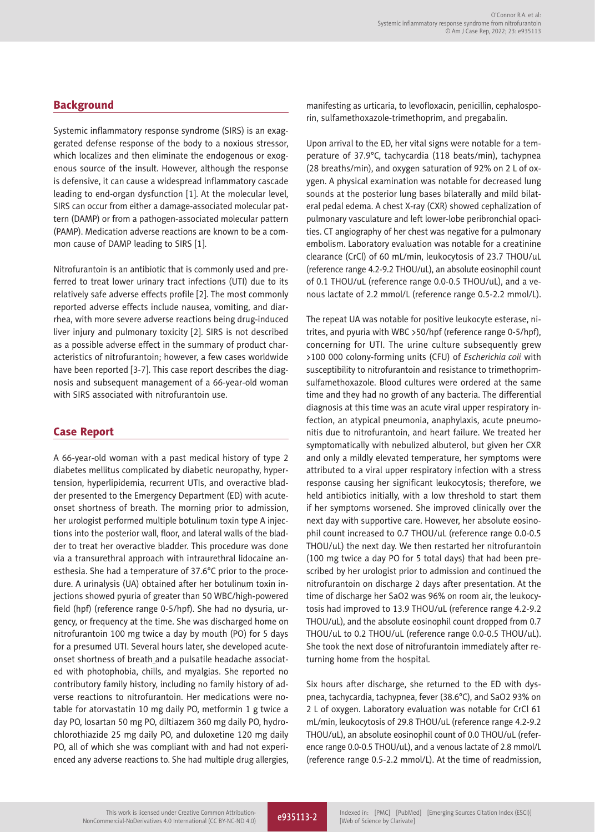Systemic inflammatory response syndrome (SIRS) is an exaggerated defense response of the body to a noxious stressor, which localizes and then eliminate the endogenous or exogenous source of the insult. However, although the response is defensive, it can cause a widespread inflammatory cascade leading to end-organ dysfunction [1]. At the molecular level, SIRS can occur from either a damage-associated molecular pattern (DAMP) or from a pathogen-associated molecular pattern (PAMP). Medication adverse reactions are known to be a common cause of DAMP leading to SIRS [1].

Nitrofurantoin is an antibiotic that is commonly used and preferred to treat lower urinary tract infections (UTI) due to its relatively safe adverse effects profile [2]. The most commonly reported adverse effects include nausea, vomiting, and diarrhea, with more severe adverse reactions being drug-induced liver injury and pulmonary toxicity [2]. SIRS is not described as a possible adverse effect in the summary of product characteristics of nitrofurantoin; however, a few cases worldwide have been reported [3-7]. This case report describes the diagnosis and subsequent management of a 66-year-old woman with SIRS associated with nitrofurantoin use.

#### Case Report

A 66-year-old woman with a past medical history of type 2 diabetes mellitus complicated by diabetic neuropathy, hypertension, hyperlipidemia, recurrent UTIs, and overactive bladder presented to the Emergency Department (ED) with acuteonset shortness of breath. The morning prior to admission, her urologist performed multiple botulinum toxin type A injections into the posterior wall, floor, and lateral walls of the bladder to treat her overactive bladder. This procedure was done via a transurethral approach with intraurethral lidocaine anesthesia. She had a temperature of 37.6°C prior to the procedure. A urinalysis (UA) obtained after her botulinum toxin injections showed pyuria of greater than 50 WBC/high-powered field (hpf) (reference range 0-5/hpf). She had no dysuria, urgency, or frequency at the time. She was discharged home on nitrofurantoin 100 mg twice a day by mouth (PO) for 5 days for a presumed UTI. Several hours later, she developed acuteonset shortness of breath\_and a pulsatile headache associated with photophobia, chills, and myalgias. She reported no contributory family history, including no family history of adverse reactions to nitrofurantoin. Her medications were notable for atorvastatin 10 mg daily PO, metformin 1 g twice a day PO, losartan 50 mg PO, diltiazem 360 mg daily PO, hydrochlorothiazide 25 mg daily PO, and duloxetine 120 mg daily PO, all of which she was compliant with and had not experienced any adverse reactions to. She had multiple drug allergies, manifesting as urticaria, to levofloxacin, penicillin, cephalosporin, sulfamethoxazole-trimethoprim, and pregabalin.

Upon arrival to the ED, her vital signs were notable for a temperature of 37.9°C, tachycardia (118 beats/min), tachypnea (28 breaths/min), and oxygen saturation of 92% on 2 L of oxygen. A physical examination was notable for decreased lung sounds at the posterior lung bases bilaterally and mild bilateral pedal edema. A chest X-ray (CXR) showed cephalization of pulmonary vasculature and left lower-lobe peribronchial opacities. CT angiography of her chest was negative for a pulmonary embolism. Laboratory evaluation was notable for a creatinine clearance (CrCl) of 60 mL/min, leukocytosis of 23.7 THOU/uL (reference range 4.2-9.2 THOU/uL), an absolute eosinophil count of 0.1 THOU/uL (reference range 0.0-0.5 THOU/uL), and a venous lactate of 2.2 mmol/L (reference range 0.5-2.2 mmol/L).

The repeat UA was notable for positive leukocyte esterase, nitrites, and pyuria with WBC >50/hpf (reference range 0-5/hpf), concerning for UTI. The urine culture subsequently grew >100 000 colony-forming units (CFU) of *Escherichia coli* with susceptibility to nitrofurantoin and resistance to trimethoprimsulfamethoxazole. Blood cultures were ordered at the same time and they had no growth of any bacteria. The differential diagnosis at this time was an acute viral upper respiratory infection, an atypical pneumonia, anaphylaxis, acute pneumonitis due to nitrofurantoin, and heart failure. We treated her symptomatically with nebulized albuterol, but given her CXR and only a mildly elevated temperature, her symptoms were attributed to a viral upper respiratory infection with a stress response causing her significant leukocytosis; therefore, we held antibiotics initially, with a low threshold to start them if her symptoms worsened. She improved clinically over the next day with supportive care. However, her absolute eosinophil count increased to 0.7 THOU/uL (reference range 0.0-0.5 THOU/uL) the next day. We then restarted her nitrofurantoin (100 mg twice a day PO for 5 total days) that had been prescribed by her urologist prior to admission and continued the nitrofurantoin on discharge 2 days after presentation. At the time of discharge her SaO2 was 96% on room air, the leukocytosis had improved to 13.9 THOU/uL (reference range 4.2-9.2 THOU/uL), and the absolute eosinophil count dropped from 0.7 THOU/uL to 0.2 THOU/uL (reference range 0.0-0.5 THOU/uL). She took the next dose of nitrofurantoin immediately after returning home from the hospital.

Six hours after discharge, she returned to the ED with dyspnea, tachycardia, tachypnea, fever (38.6°C), and SaO2 93% on 2 L of oxygen. Laboratory evaluation was notable for CrCl 61 mL/min, leukocytosis of 29.8 THOU/uL (reference range 4.2-9.2 THOU/uL), an absolute eosinophil count of 0.0 THOU/uL (reference range 0.0-0.5 THOU/uL), and a venous lactate of 2.8 mmol/L (reference range 0.5-2.2 mmol/L). At the time of readmission,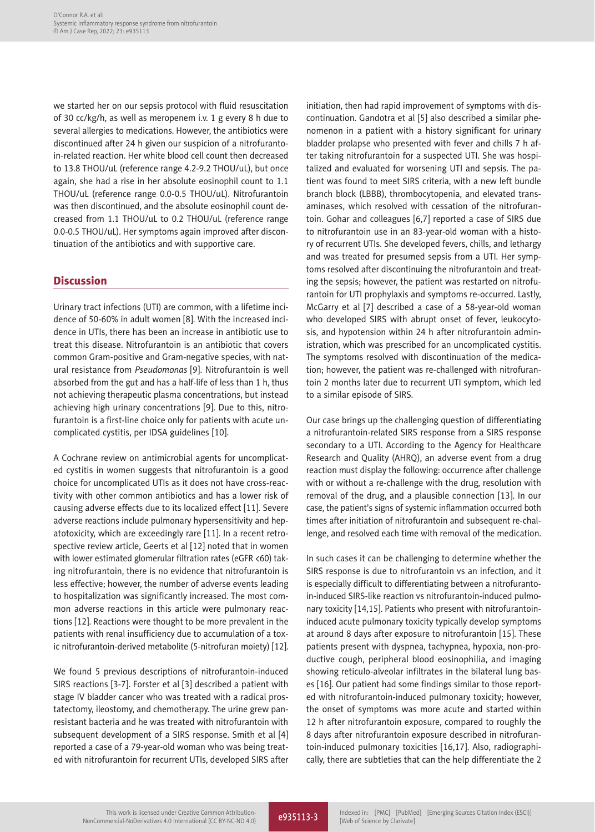we started her on our sepsis protocol with fluid resuscitation of 30 cc/kg/h, as well as meropenem i.v. 1 g every 8 h due to several allergies to medications. However, the antibiotics were discontinued after 24 h given our suspicion of a nitrofurantoin-related reaction. Her white blood cell count then decreased to 13.8 THOU/uL (reference range 4.2-9.2 THOU/uL), but once again, she had a rise in her absolute eosinophil count to 1.1 THOU/uL (reference range 0.0-0.5 THOU/uL). Nitrofurantoin was then discontinued, and the absolute eosinophil count decreased from 1.1 THOU/uL to 0.2 THOU/uL (reference range 0.0-0.5 THOU/uL). Her symptoms again improved after discontinuation of the antibiotics and with supportive care.

#### **Discussion**

Urinary tract infections (UTI) are common, with a lifetime incidence of 50-60% in adult women [8]. With the increased incidence in UTIs, there has been an increase in antibiotic use to treat this disease. Nitrofurantoin is an antibiotic that covers common Gram-positive and Gram-negative species, with natural resistance from *Pseudomonas* [9]. Nitrofurantoin is well absorbed from the gut and has a half-life of less than 1 h, thus not achieving therapeutic plasma concentrations, but instead achieving high urinary concentrations [9]. Due to this, nitrofurantoin is a first-line choice only for patients with acute uncomplicated cystitis, per IDSA guidelines [10].

A Cochrane review on antimicrobial agents for uncomplicated cystitis in women suggests that nitrofurantoin is a good choice for uncomplicated UTIs as it does not have cross-reactivity with other common antibiotics and has a lower risk of causing adverse effects due to its localized effect [11]. Severe adverse reactions include pulmonary hypersensitivity and hepatotoxicity, which are exceedingly rare [11]. In a recent retrospective review article, Geerts et al [12] noted that in women with lower estimated glomerular filtration rates (eGFR <60) taking nitrofurantoin, there is no evidence that nitrofurantoin is less effective; however, the number of adverse events leading to hospitalization was significantly increased. The most common adverse reactions in this article were pulmonary reactions [12]. Reactions were thought to be more prevalent in the patients with renal insufficiency due to accumulation of a toxic nitrofurantoin-derived metabolite (5-nitrofuran moiety) [12].

We found 5 previous descriptions of nitrofurantoin-induced SIRS reactions [3-7]. Forster et al [3] described a patient with stage IV bladder cancer who was treated with a radical prostatectomy, ileostomy, and chemotherapy. The urine grew panresistant bacteria and he was treated with nitrofurantoin with subsequent development of a SIRS response. Smith et al [4] reported a case of a 79-year-old woman who was being treated with nitrofurantoin for recurrent UTIs, developed SIRS after initiation, then had rapid improvement of symptoms with discontinuation. Gandotra et al [5] also described a similar phenomenon in a patient with a history significant for urinary bladder prolapse who presented with fever and chills 7 h after taking nitrofurantoin for a suspected UTI. She was hospitalized and evaluated for worsening UTI and sepsis. The patient was found to meet SIRS criteria, with a new left bundle branch block (LBBB), thrombocytopenia, and elevated transaminases, which resolved with cessation of the nitrofurantoin. Gohar and colleagues [6,7] reported a case of SIRS due to nitrofurantoin use in an 83-year-old woman with a history of recurrent UTIs. She developed fevers, chills, and lethargy and was treated for presumed sepsis from a UTI. Her symptoms resolved after discontinuing the nitrofurantoin and treating the sepsis; however, the patient was restarted on nitrofurantoin for UTI prophylaxis and symptoms re-occurred. Lastly, McGarry et al [7] described a case of a 58-year-old woman who developed SIRS with abrupt onset of fever, leukocytosis, and hypotension within 24 h after nitrofurantoin administration, which was prescribed for an uncomplicated cystitis. The symptoms resolved with discontinuation of the medication; however, the patient was re-challenged with nitrofurantoin 2 months later due to recurrent UTI symptom, which led to a similar episode of SIRS.

Our case brings up the challenging question of differentiating a nitrofurantoin-related SIRS response from a SIRS response secondary to a UTI. According to the Agency for Healthcare Research and Quality (AHRQ), an adverse event from a drug reaction must display the following: occurrence after challenge with or without a re-challenge with the drug, resolution with removal of the drug, and a plausible connection [13]. In our case, the patient's signs of systemic inflammation occurred both times after initiation of nitrofurantoin and subsequent re-challenge, and resolved each time with removal of the medication.

In such cases it can be challenging to determine whether the SIRS response is due to nitrofurantoin vs an infection, and it is especially difficult to differentiating between a nitrofurantoin-induced SIRS-like reaction vs nitrofurantoin-induced pulmonary toxicity [14,15]. Patients who present with nitrofurantoininduced acute pulmonary toxicity typically develop symptoms at around 8 days after exposure to nitrofurantoin [15]. These patients present with dyspnea, tachypnea, hypoxia, non-productive cough, peripheral blood eosinophilia, and imaging showing reticulo-alveolar infiltrates in the bilateral lung bases [16]. Our patient had some findings similar to those reported with nitrofurantoin-induced pulmonary toxicity; however, the onset of symptoms was more acute and started within 12 h after nitrofurantoin exposure, compared to roughly the 8 days after nitrofurantoin exposure described in nitrofurantoin-induced pulmonary toxicities [16,17]. Also, radiographically, there are subtleties that can the help differentiate the 2